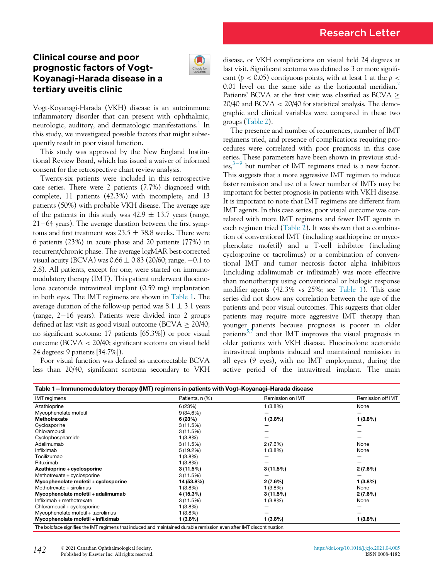## Clinical course and poor prognostic factors of Vogt-Koyanagi-Harada disease in a tertiary uveitis clinic



Vogt-Koyanagi-Harada (VKH) disease is an autoimmune inflammatory disorder that can present with ophthalmic, neurologic, auditory, and dermatologic manifestations.<sup>[1](#page-1-0)</sup> In this study, we investigated possible factors that might subsequently result in poor visual function.

This study was approved by the New England Institutional Review Board, which has issued a waiver of informed consent for the retrospective chart review analysis.

Twenty-six patients were included in this retrospective case series. There were 2 patients (7.7%) diagnosed with complete, 11 patients (42.3%) with incomplete, and 13 patients (50%) with probable VKH disease. The average age of the patients in this study was  $42.9 \pm 13.7$  years (range,  $21-64$  years). The average duration between the first symptoms and first treatment was  $23.5 \pm 38.8$  weeks. There were 6 patients (23%) in acute phase and 20 patients (77%) in recurrent/chronic phase. The average logMAR best-corrected visual acuity (BCVA) was  $0.66 \pm 0.83$  (20/60; range,  $-0.1$  to 2.8). All patients, except for one, were started on immunomodulatory therapy (IMT). This patient underwent fluocinolone acetonide intravitreal implant (0.59 mg) implantation in both eyes. The IMT regimens are shown in [Table 1.](#page-0-0) The average duration of the follow-up period was  $8.1 \pm 3.1$  years (range,  $2-16$  years). Patients were divided into 2 groups defined at last visit as good visual outcome (BCVA  $\geq$  20/40; no significant scotoma: 17 patients [65.3%]) or poor visual outcome (BCVA < 20/40; significant scotoma on visual field 24 degrees: 9 patients [34.7%]).

Poor visual function was defined as uncorrectable BCVA less than 20/40, significant scotoma secondary to VKH disease, or VKH complications on visual field 24 degrees at last visit. Significant scotoma was defined as 3 or more significant ( $p < 0.05$ ) contiguous points, with at least 1 at the  $p <$ 0.01 level on the same side as the horizontal meridian.<sup>2</sup> Patients' BCVA at the first visit was classified as BCVA  $\geq$  $20/40$  and BCVA  $<$  20/40 for statistical analysis. The demographic and clinical variables were compared in these two groups ([Table 2\)](#page-1-2).

The presence and number of recurrences, number of IMT regimens tried, and presence of complications requiring procedures were correlated with poor prognosis in this case series. These parameters have been shown in previous studies,  $3-9$  $3-9$  $3-9$  but number of IMT regimens tried is a new factor. This suggests that a more aggressive IMT regimen to induce faster remission and use of a fewer number of IMTs may be important for better prognosis in patients with VKH disease. It is important to note that IMT regimens are different from IMT agents. In this case series, poor visual outcome was correlated with more IMT regimens and fewer IMT agents in each regimen tried ([Table 2](#page-1-2)). It was shown that a combination of conventional IMT (including azathioprine or mycophenolate mofetil) and a T-cell inhibitor (including cyclosporine or tacrolimus) or a combination of conventional IMT and tumor necrosis factor alpha inhibitors (including adalimumab or infliximab) was more effective than monotherapy using conventional or biologic response modifier agents (42.3% vs 25%; see [Table 1\)](#page-0-0). This case series did not show any correlation between the age of the patients and poor visual outcomes. This suggests that older patients may require more aggressive IMT therapy than younger patients because prognosis is poorer in older patients<sup>[5,](#page-1-4)[7](#page-1-5)</sup> and that IMT improves the visual prognosis in older patients with VKH disease. Fluocinolone acetonide intravitreal implants induced and maintained remission in all eyes (9 eyes), with no IMT employment, during the active period of the intravitreal implant. The main

<span id="page-0-0"></span>

| Table 1—Immunomodulatory therapy (IMT) regimens in patients with Vogt-Koyanagi-Harada disease                         |                 |                  |                   |  |
|-----------------------------------------------------------------------------------------------------------------------|-----------------|------------------|-------------------|--|
| <b>IMT</b> regimens                                                                                                   | Patients, n (%) | Remission on IMT | Remission off IMT |  |
| Azathioprine                                                                                                          | 6 (23%)         | 1(3.8%)          | None              |  |
| Mycophenolate mofetil                                                                                                 | 9(34.6%)        |                  |                   |  |
| Methotrexate                                                                                                          | 6(23%)          | 1(3.8%)          | 1(3.8%)           |  |
| Cyclosporine                                                                                                          | 3(11.5%)        |                  |                   |  |
| Chlorambucil                                                                                                          | 3(11.5%)        |                  |                   |  |
| Cyclophosphamide                                                                                                      | $1(3.8\%)$      |                  |                   |  |
| Adalimumab                                                                                                            | 3(11.5%)        | 2(7.6%)          | None              |  |
| Infliximab                                                                                                            | 5(19.2%)        | 1(3.8%)          | None              |  |
| Tocilizumab                                                                                                           | $1(3.8\%)$      |                  |                   |  |
| Rituximab                                                                                                             | 1(3.8%)         |                  |                   |  |
| Azathioprine + cyclosporine                                                                                           | 3(11.5%)        | 3(11.5%)         | $2(7.6\%)$        |  |
| Methotrexate + cyclosporine                                                                                           | 3(11.5%)        |                  |                   |  |
| Mycophenolate mofetil + cyclosporine                                                                                  | 14 (53.8%)      | 2(7.6%)          | 1(3.8%)           |  |
| Methotrexate + sirolimus                                                                                              | 1(3.8%)         | 1(3.8%)          | None              |  |
| Mycophenolate mofetil + adalimumab                                                                                    | 4 (15.3%)       | 3(11.5%)         | 2(7.6%)           |  |
| Infliximab + methotrexate                                                                                             | 3(11.5%)        | $1(3.8\%)$       | None              |  |
| Chlorambucil + cyclosporine                                                                                           | $1(3.8\%)$      |                  |                   |  |
| Mycophenolate mofetil + tacrolimus                                                                                    | $1(3.8\%)$      |                  |                   |  |
| Mycophenolate mofetil + infliximab                                                                                    | 1(3.8%)         | 1(3.8%)          | 1(3.8%)           |  |
| The boldface signifies the IMT regimens that induced and maintained durable remission even after IMT discontinuation. |                 |                  |                   |  |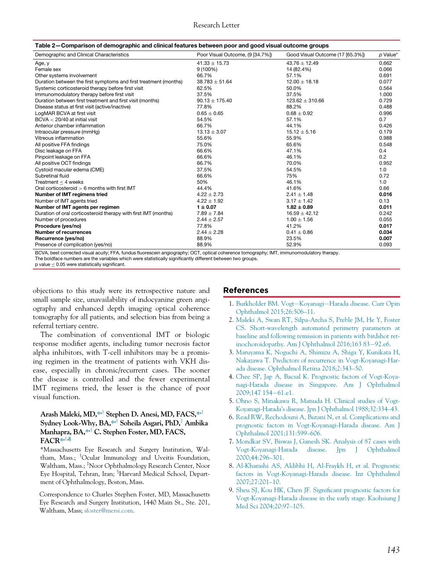<span id="page-1-2"></span>

| Table 2—Comparison of demographic and clinical features between poor and good visual outcome groups                                   |                                  |                                  |          |  |
|---------------------------------------------------------------------------------------------------------------------------------------|----------------------------------|----------------------------------|----------|--|
| Demographic and Clinical Characteristics                                                                                              | Poor Visual Outcome, (9 [34.7%]) | Good Visual Outcome (17 [65.3%]) | p Value* |  |
| Age, y                                                                                                                                | $41.33 \pm 15.73$                | $43.76 \pm 12.49$                | 0.662    |  |
| Female sex                                                                                                                            | $9(100\%)$                       | 14 (82.4%)                       | 0.066    |  |
| Other systems involvement                                                                                                             | 66.7%                            | 57.1%                            | 0.691    |  |
| Duration between the first symptoms and first treatment (months)                                                                      | $38.783 \pm 51.64$               | $12.00 \pm 18.18$                | 0.077    |  |
| Systemic corticosteroid therapy before first visit                                                                                    | 62.5%                            | 50.0%                            | 0.564    |  |
| Immunomodulatory therapy before first visit                                                                                           | 37.5%                            | 37.5%                            | 1.000    |  |
| Duration between first treatment and first visit (months)                                                                             | $90.13 \pm 175.40$               | $123.62 \pm 310.66$              | 0.729    |  |
| Disease status at first visit (active/inactive)                                                                                       | 77.8%                            | 88.2%                            | 0.488    |  |
| LogMAR BCVA at first visit                                                                                                            | $0.65 \pm 0.65$                  | $0.68 \pm 0.92$                  | 0.996    |  |
| $BCVA < 20/40$ at initial visit                                                                                                       | 54.5%                            | 57.1%                            | 0.7      |  |
| Anterior chamber inflammation                                                                                                         | 66.7%                            | 44.1%                            | 0.426    |  |
| Intraocular pressure (mmHg)                                                                                                           | $13.13 \pm 3.07$                 | $15.12 + 5.16$                   | 0.179    |  |
| Vitreous inflammation                                                                                                                 | 55.6%                            | 55.9%                            | 0.988    |  |
| All positive FFA findings                                                                                                             | 75.0%                            | 65.6%                            | 0.548    |  |
| Disc leakage on FFA                                                                                                                   | 66.6%                            | 47.1%                            | 0.4      |  |
| Pinpoint leakage on FFA                                                                                                               | 66.6%                            | 46.1%                            | 0.2      |  |
| All positive OCT findings                                                                                                             | 66.7%                            | 70.0%                            | 0.952    |  |
| Cystoid macular edema (CME)                                                                                                           | 37.5%                            | 54.5%                            | 1.0      |  |
| Subretinal fluid                                                                                                                      | 66.6%                            | 75%                              | 0.72     |  |
| Treatment $<$ 4 weeks                                                                                                                 | 50%                              | 46.1%                            | 1.0      |  |
| Oral corticosteroid $> 6$ months with first IMT                                                                                       | 44.4%                            | 41.6%                            | 0.66     |  |
| Number of IMT regimens tried                                                                                                          | $4.22 \pm 2.73$                  | $2.41 \pm 1.48$                  | 0.016    |  |
| Number of IMT agents tried                                                                                                            | $4.22 \pm 1.92$                  | $3.17 \pm 1.42$                  | 0.13     |  |
| Number of IMT agents per regimen                                                                                                      | $1 \pm 0.07$                     | $1.82 \pm 0.89$                  | 0.011    |  |
| Duration of oral corticosteroid therapy with first IMT (months)                                                                       | $7.89 \pm 7.84$                  | $16.59 \pm 42.12$                | 0.242    |  |
| Number of procedures                                                                                                                  | $2.44 \pm 2.57$                  | $1.00 \pm 1.56$                  | 0.055    |  |
| Procedure (yes/no)                                                                                                                    | 77.8%                            | 41.2%                            | 0.017    |  |
| <b>Number of recurrences</b>                                                                                                          | $2.44 \pm 2.28$                  | $0.41 \pm 0.86$                  | 0.034    |  |
| Recurrence (yes/no)                                                                                                                   | 88.9%                            | 23.5%                            | 0.007    |  |
| Presence of complication (yes/no)                                                                                                     | 88.9%                            | 52.9%                            | 0.093    |  |
| RCVA best corrected visual acuity: EEA fundus fluorescein angiography: OCT optical coherence tomography: IMT immunomodulatony therapy |                                  |                                  |          |  |

BCVA, best corrected visual acuity; FFA, fundus fluorescein angiography; OCT, optical coherence tomography; IMT, immunomodulatory therapy.

The boldface numbers are the variables which were statistically significantly different between two groups.

p value  $\leq 0.05$  were statistically significant.

<span id="page-1-0"></span>objections to this study were its retrospective nature and small sample size, unavailability of indocyanine green angiography and enhanced depth imaging optical coherence tomography for all patients, and selection bias from being a referral tertiary centre.

<span id="page-1-3"></span><span id="page-1-1"></span>The combination of conventional IMT or biologic response modifier agents, including tumor necrosis factor alpha inhibitors, with T-cell inhibitors may be a promising regimen in the treatment of patients with VKH disease, especially in chronic/recurrent cases. The sooner the disease is controlled and the fewer experimental IMT regimens tried, the lesser is the chance of poor visual function.

## <span id="page-1-4"></span>Arash Maleki, MD,\*<sup>+</sup> Stephen D. Anesi, MD, FACS,\*<sup>+</sup> Sydney Look-Why, BA, $*$ <sup>†</sup> Soheila Asgari, PhD,<sup>‡</sup> Ambika Manhapra, BA,<sup>\*\*†</sup> C. Stephen Foster, MD, FACS,  $FACR**$ <sup>†,§</sup>

<span id="page-1-5"></span>\*Massachusetts Eye Research and Surgery Institution, Waltham, Mass.; <sup>†</sup>Ocular Immunology and Uveitis Foundation, Waltham, Mass.; <sup>‡</sup>Noor Ophthalmology Research Center, Noor Eye Hospital, Tehran, Iran; <sup>§</sup>Harvard Medical School, Department of Ophthalmology, Boston, Mass.

Correspondence to Charles Stephen Foster, MD, Massachusetts Eye Research and Surgery Institution, 1440 Main St., Ste. 201, Waltham, Mass; [sfoster@mersi.com.](mailto:sfoster@mersi.com)

## References

- 1. [Burkholder BM. Vogt](http://refhub.elsevier.com/S0008-4182(21)00134-4/sbref0001)-[Koyanagi](http://refhub.elsevier.com/S0008-4182(21)00134-4/sbref0001)-[Harada disease. Curr Opin](http://refhub.elsevier.com/S0008-4182(21)00134-4/sbref0001) [Ophthalmol 2015;26:506](http://refhub.elsevier.com/S0008-4182(21)00134-4/sbref0001)–11.
- 2. [Maleki A, Swan RT, Silpa-Archa S, Preble JM, He Y, Foster](http://refhub.elsevier.com/S0008-4182(21)00134-4/sbref0002) [CS. Short-wavelength automated perimetry parameters at](http://refhub.elsevier.com/S0008-4182(21)00134-4/sbref0002) [baseline and following remission in patients with birdshot ret](http://refhub.elsevier.com/S0008-4182(21)00134-4/sbref0002)[inochoroidopathy. Am J Ophthalmol 2016;163 83](http://refhub.elsevier.com/S0008-4182(21)00134-4/sbref0002)-[92.e6.](http://refhub.elsevier.com/S0008-4182(21)00134-4/sbref0002)
- 3. [Maruyama K, Noguchi A, Shimizu A, Shiga Y, Kunikata H,](http://refhub.elsevier.com/S0008-4182(21)00134-4/sbref0003) [Nakazawa T. Predictors of recurrence in Vogt-Koyanagi-Har](http://refhub.elsevier.com/S0008-4182(21)00134-4/sbref0003)[ada disease. Ophthalmol Retina 2018;2:343](http://refhub.elsevier.com/S0008-4182(21)00134-4/sbref0003)–50.
- 4. [Chee SP, Jap A, Bacsal K. Prognostic factors of Vogt-Koya](http://refhub.elsevier.com/S0008-4182(21)00134-4/sbref0004)[nagi-Harada disease in Singapore. Am J Ophthalmol](http://refhub.elsevier.com/S0008-4182(21)00134-4/sbref0004) [2009;147 154](http://refhub.elsevier.com/S0008-4182(21)00134-4/sbref0004)-[61.e1.](http://refhub.elsevier.com/S0008-4182(21)00134-4/sbref0004)
- 5. [Ohno S, Minakawa R, Matsuda H. Clinical studies of Vogt-](http://refhub.elsevier.com/S0008-4182(21)00134-4/sbref0005)Koyanagi-Harada'[s disease. Jpn J Ophthalmol 1988;32:334](http://refhub.elsevier.com/S0008-4182(21)00134-4/sbref0005)–43.
- 6. [Read RW, Rechodouni A, Butani N, et al. Complications and](http://refhub.elsevier.com/S0008-4182(21)00134-4/sbref0006) [prognostic factors in Vogt-Koyanagi-Harada disease. Am J](http://refhub.elsevier.com/S0008-4182(21)00134-4/sbref0006) [Ophthalmol 2001;131:599](http://refhub.elsevier.com/S0008-4182(21)00134-4/sbref0006)–606.
- 7. [Mondkar SV, Biswas J, Ganesh SK. Analysis of 87 cases with](http://refhub.elsevier.com/S0008-4182(21)00134-4/sbref0007) [Vogt-Koyanagi-Harada disease. Jpn J Ophthalmol](http://refhub.elsevier.com/S0008-4182(21)00134-4/sbref0007) [2000;44:296](http://refhub.elsevier.com/S0008-4182(21)00134-4/sbref0007)–301.
- 8. [Al-Kharashi AS, Aldibhi H, Al-Fraykh H, et al. Prognostic](http://refhub.elsevier.com/S0008-4182(21)00134-4/sbref0008) [factors in Vogt-Koyanagi-Harada disease. Int Ophthalmol](http://refhub.elsevier.com/S0008-4182(21)00134-4/sbref0008) [2007;27:201](http://refhub.elsevier.com/S0008-4182(21)00134-4/sbref0008)–10.
- 9. [Sheu SJ, Kou HK, Chen JF. Signi](http://refhub.elsevier.com/S0008-4182(21)00134-4/sbref0009)ficant prognostic factors for [Vogt-Koyanagi-Harada disease in the early stage. Kaohsiung J](http://refhub.elsevier.com/S0008-4182(21)00134-4/sbref0009) [Med Sci 2004;20:97](http://refhub.elsevier.com/S0008-4182(21)00134-4/sbref0009)–105.